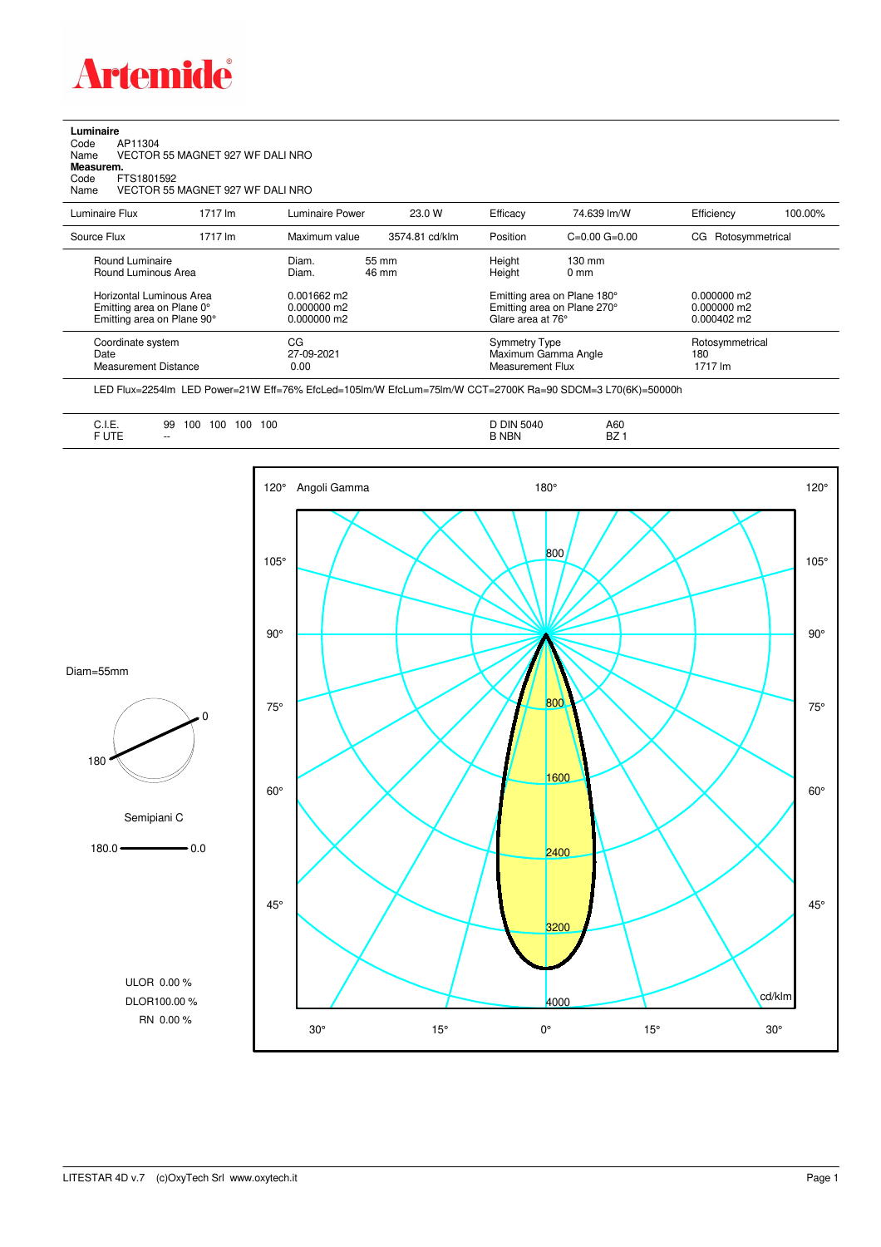

## **Luminaire**<br>Code<br>Name Code AP11304 Name VECTOR 55 MAGNET 927 WF DALI NRO **Measurem.** Code FTS1801592<br>Name VECTOR 551 VECTOR 55 MAGNET 927 WF DALI NRO

| Luminaire Flux                                                                      | 1717 lm | Luminaire Power                             | 23.0 W         | Efficacy                                                                        | 74.639 lm/W                         | Efficiency                                  | 100.00% |
|-------------------------------------------------------------------------------------|---------|---------------------------------------------|----------------|---------------------------------------------------------------------------------|-------------------------------------|---------------------------------------------|---------|
| Source Flux                                                                         | 1717 lm | Maximum value                               | 3574.81 cd/klm | Position                                                                        | $C = 0.00$ $G = 0.00$               | CG Rotosymmetrical                          |         |
| Round Luminaire<br>Round Luminous Area                                              |         | Diam.<br>Diam.                              | 55 mm<br>46 mm | Height<br>Height                                                                | $130 \text{ mm}$<br>0 <sub>mm</sub> |                                             |         |
| Horizontal Luminous Area<br>Emitting area on Plane 0°<br>Emitting area on Plane 90° |         | 0.001662 m2<br>$0.000000$ m2<br>0.000000 m2 |                | Emitting area on Plane 180°<br>Emitting area on Plane 270°<br>Glare area at 76° |                                     | 0.000000 m2<br>$0.000000$ m2<br>0.000402 m2 |         |
| Coordinate system<br>Date<br>Measurement Distance                                   |         | CG<br>27-09-2021<br>0.00                    |                | <b>Symmetry Type</b><br>Maximum Gamma Angle<br>Measurement Flux                 |                                     | Rotosymmetrical<br>180<br>1717 lm           |         |

LED Flux=2254lm LED Power=21W Eff=76% EfcLed=105lm/W EfcLum=75lm/W CCT=2700K Ra=90 SDCM=3 L70(6K)=50000h